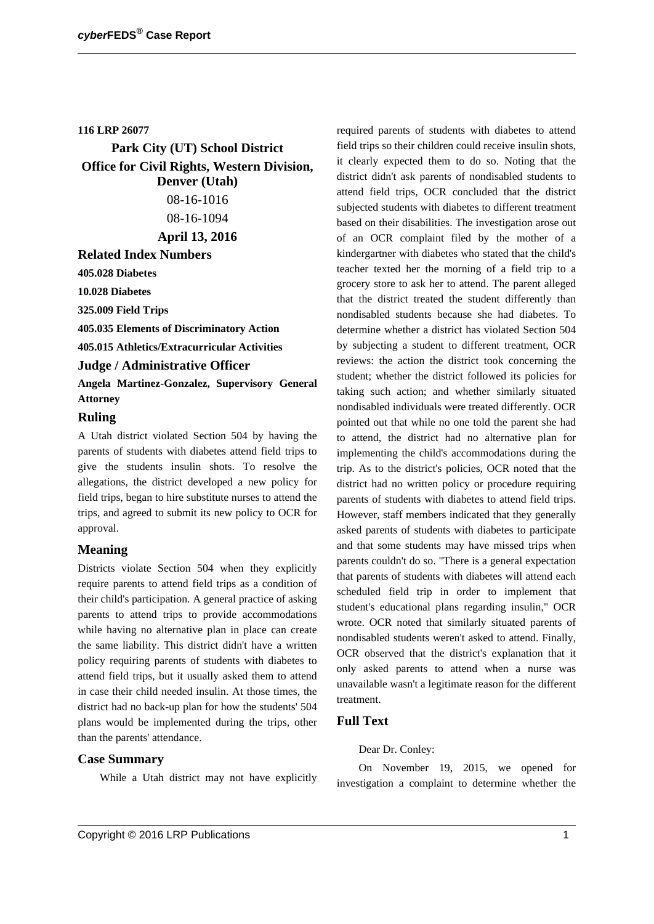#### **116 LRP 26077**

**Park City (UT) School District Office for Civil Rights, Western Division, Denver (Utah)** 08-16-1016 08-16-1094 **April 13, 2016**

# **Related Index Numbers**

**405.028 Diabetes**

**10.028 Diabetes**

**325.009 Field Trips**

**405.035 Elements of Discriminatory Action**

**405.015 Athletics/Extracurricular Activities**

#### **Judge / Administrative Officer**

**Angela Martinez-Gonzalez, Supervisory General Attorney**

#### **Ruling**

A Utah district violated Section 504 by having the parents of students with diabetes attend field trips to give the students insulin shots. To resolve the allegations, the district developed a new policy for field trips, began to hire substitute nurses to attend the trips, and agreed to submit its new policy to OCR for approval.

## **Meaning**

Districts violate Section 504 when they explicitly require parents to attend field trips as a condition of their child's participation. A general practice of asking parents to attend trips to provide accommodations while having no alternative plan in place can create the same liability. This district didn't have a written policy requiring parents of students with diabetes to attend field trips, but it usually asked them to attend in case their child needed insulin. At those times, the district had no back-up plan for how the students' 504 plans would be implemented during the trips, other than the parents' attendance.

## **Case Summary**

While a Utah district may not have explicitly

required parents of students with diabetes to attend field trips so their children could receive insulin shots, it clearly expected them to do so. Noting that the district didn't ask parents of nondisabled students to attend field trips, OCR concluded that the district subjected students with diabetes to different treatment based on their disabilities. The investigation arose out of an OCR complaint filed by the mother of a kindergartner with diabetes who stated that the child's teacher texted her the morning of a field trip to a grocery store to ask her to attend. The parent alleged that the district treated the student differently than nondisabled students because she had diabetes. To determine whether a district has violated Section 504 by subjecting a student to different treatment, OCR reviews: the action the district took concerning the student; whether the district followed its policies for taking such action; and whether similarly situated nondisabled individuals were treated differently. OCR pointed out that while no one told the parent she had to attend, the district had no alternative plan for implementing the child's accommodations during the trip. As to the district's policies, OCR noted that the district had no written policy or procedure requiring parents of students with diabetes to attend field trips. However, staff members indicated that they generally asked parents of students with diabetes to participate and that some students may have missed trips when parents couldn't do so. "There is a general expectation that parents of students with diabetes will attend each scheduled field trip in order to implement that student's educational plans regarding insulin," OCR wrote. OCR noted that similarly situated parents of nondisabled students weren't asked to attend. Finally, OCR observed that the district's explanation that it only asked parents to attend when a nurse was unavailable wasn't a legitimate reason for the different treatment.

## **Full Text**

#### Dear Dr. Conley:

On November 19, 2015, we opened for investigation a complaint to determine whether the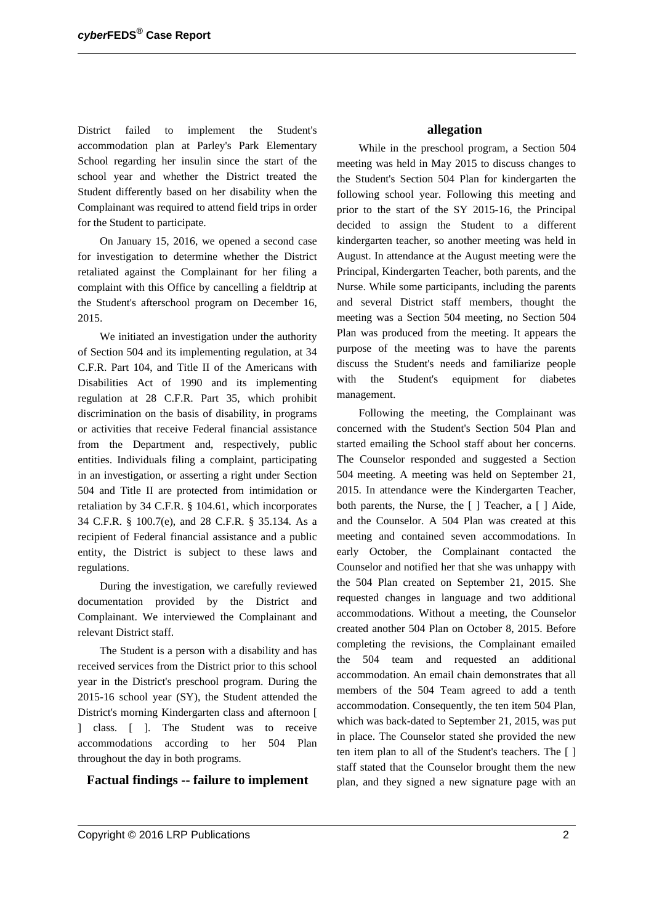District failed to implement the Student's accommodation plan at Parley's Park Elementary School regarding her insulin since the start of the school year and whether the District treated the Student differently based on her disability when the Complainant was required to attend field trips in order for the Student to participate.

On January 15, 2016, we opened a second case for investigation to determine whether the District retaliated against the Complainant for her filing a complaint with this Office by cancelling a fieldtrip at the Student's afterschool program on December 16, 2015.

We initiated an investigation under the authority of Section 504 and its implementing regulation, at 34 C.F.R. Part 104, and Title II of the Americans with Disabilities Act of 1990 and its implementing regulation at 28 C.F.R. Part 35, which prohibit discrimination on the basis of disability, in programs or activities that receive Federal financial assistance from the Department and, respectively, public entities. Individuals filing a complaint, participating in an investigation, or asserting a right under Section 504 and Title II are protected from intimidation or retaliation by 34 C.F.R. § 104.61, which incorporates 34 C.F.R. § 100.7(e), and 28 C.F.R. § 35.134. As a recipient of Federal financial assistance and a public entity, the District is subject to these laws and regulations.

During the investigation, we carefully reviewed documentation provided by the District and Complainant. We interviewed the Complainant and relevant District staff.

The Student is a person with a disability and has received services from the District prior to this school year in the District's preschool program. During the 2015-16 school year (SY), the Student attended the District's morning Kindergarten class and afternoon [ ] class. [ ]. The Student was to receive accommodations according to her 504 Plan throughout the day in both programs.

## **Factual findings -- failure to implement**

#### **allegation**

While in the preschool program, a Section 504 meeting was held in May 2015 to discuss changes to the Student's Section 504 Plan for kindergarten the following school year. Following this meeting and prior to the start of the SY 2015-16, the Principal decided to assign the Student to a different kindergarten teacher, so another meeting was held in August. In attendance at the August meeting were the Principal, Kindergarten Teacher, both parents, and the Nurse. While some participants, including the parents and several District staff members, thought the meeting was a Section 504 meeting, no Section 504 Plan was produced from the meeting. It appears the purpose of the meeting was to have the parents discuss the Student's needs and familiarize people with the Student's equipment for diabetes management.

Following the meeting, the Complainant was concerned with the Student's Section 504 Plan and started emailing the School staff about her concerns. The Counselor responded and suggested a Section 504 meeting. A meeting was held on September 21, 2015. In attendance were the Kindergarten Teacher, both parents, the Nurse, the [ ] Teacher, a [ ] Aide, and the Counselor. A 504 Plan was created at this meeting and contained seven accommodations. In early October, the Complainant contacted the Counselor and notified her that she was unhappy with the 504 Plan created on September 21, 2015. She requested changes in language and two additional accommodations. Without a meeting, the Counselor created another 504 Plan on October 8, 2015. Before completing the revisions, the Complainant emailed the 504 team and requested an additional accommodation. An email chain demonstrates that all members of the 504 Team agreed to add a tenth accommodation. Consequently, the ten item 504 Plan, which was back-dated to September 21, 2015, was put in place. The Counselor stated she provided the new ten item plan to all of the Student's teachers. The [ ] staff stated that the Counselor brought them the new plan, and they signed a new signature page with an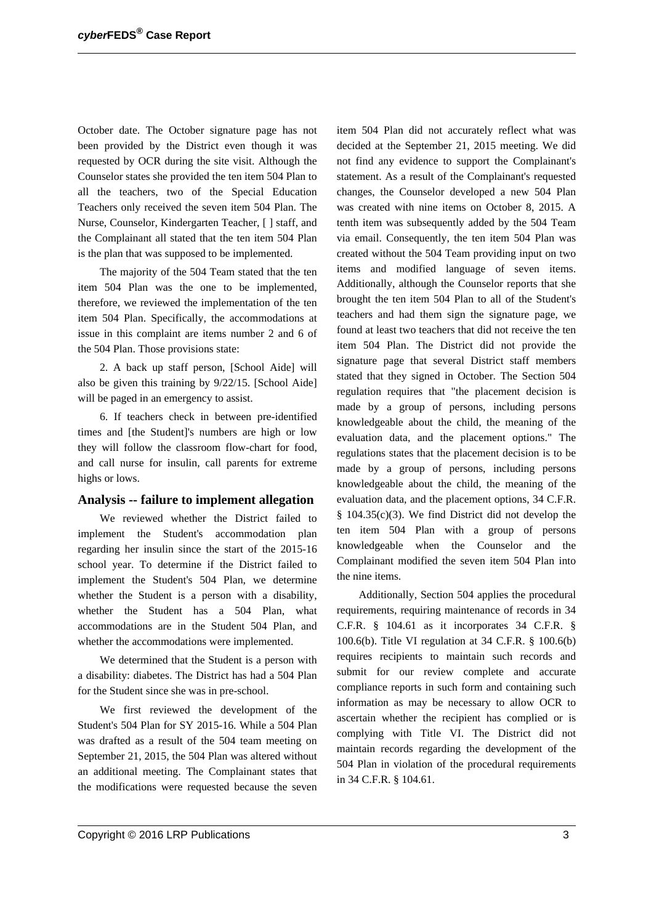October date. The October signature page has not been provided by the District even though it was requested by OCR during the site visit. Although the Counselor states she provided the ten item 504 Plan to all the teachers, two of the Special Education Teachers only received the seven item 504 Plan. The Nurse, Counselor, Kindergarten Teacher, [ ] staff, and the Complainant all stated that the ten item 504 Plan is the plan that was supposed to be implemented.

The majority of the 504 Team stated that the ten item 504 Plan was the one to be implemented, therefore, we reviewed the implementation of the ten item 504 Plan. Specifically, the accommodations at issue in this complaint are items number 2 and 6 of the 504 Plan. Those provisions state:

2. A back up staff person, [School Aide] will also be given this training by 9/22/15. [School Aide] will be paged in an emergency to assist.

6. If teachers check in between pre-identified times and [the Student]'s numbers are high or low they will follow the classroom flow-chart for food, and call nurse for insulin, call parents for extreme highs or lows.

#### **Analysis -- failure to implement allegation**

We reviewed whether the District failed to implement the Student's accommodation plan regarding her insulin since the start of the 2015-16 school year. To determine if the District failed to implement the Student's 504 Plan, we determine whether the Student is a person with a disability, whether the Student has a 504 Plan, what accommodations are in the Student 504 Plan, and whether the accommodations were implemented.

We determined that the Student is a person with a disability: diabetes. The District has had a 504 Plan for the Student since she was in pre-school.

We first reviewed the development of the Student's 504 Plan for SY 2015-16. While a 504 Plan was drafted as a result of the 504 team meeting on September 21, 2015, the 504 Plan was altered without an additional meeting. The Complainant states that the modifications were requested because the seven item 504 Plan did not accurately reflect what was decided at the September 21, 2015 meeting. We did not find any evidence to support the Complainant's statement. As a result of the Complainant's requested changes, the Counselor developed a new 504 Plan was created with nine items on October 8, 2015. A tenth item was subsequently added by the 504 Team via email. Consequently, the ten item 504 Plan was created without the 504 Team providing input on two items and modified language of seven items. Additionally, although the Counselor reports that she brought the ten item 504 Plan to all of the Student's teachers and had them sign the signature page, we found at least two teachers that did not receive the ten item 504 Plan. The District did not provide the signature page that several District staff members stated that they signed in October. The Section 504 regulation requires that "the placement decision is made by a group of persons, including persons knowledgeable about the child, the meaning of the evaluation data, and the placement options." The regulations states that the placement decision is to be made by a group of persons, including persons knowledgeable about the child, the meaning of the evaluation data, and the placement options, 34 C.F.R. § 104.35(c)(3). We find District did not develop the ten item 504 Plan with a group of persons knowledgeable when the Counselor and the Complainant modified the seven item 504 Plan into the nine items.

Additionally, Section 504 applies the procedural requirements, requiring maintenance of records in 34 C.F.R. § 104.61 as it incorporates 34 C.F.R. § 100.6(b). Title VI regulation at 34 C.F.R. § 100.6(b) requires recipients to maintain such records and submit for our review complete and accurate compliance reports in such form and containing such information as may be necessary to allow OCR to ascertain whether the recipient has complied or is complying with Title VI. The District did not maintain records regarding the development of the 504 Plan in violation of the procedural requirements in 34 C.F.R. § 104.61.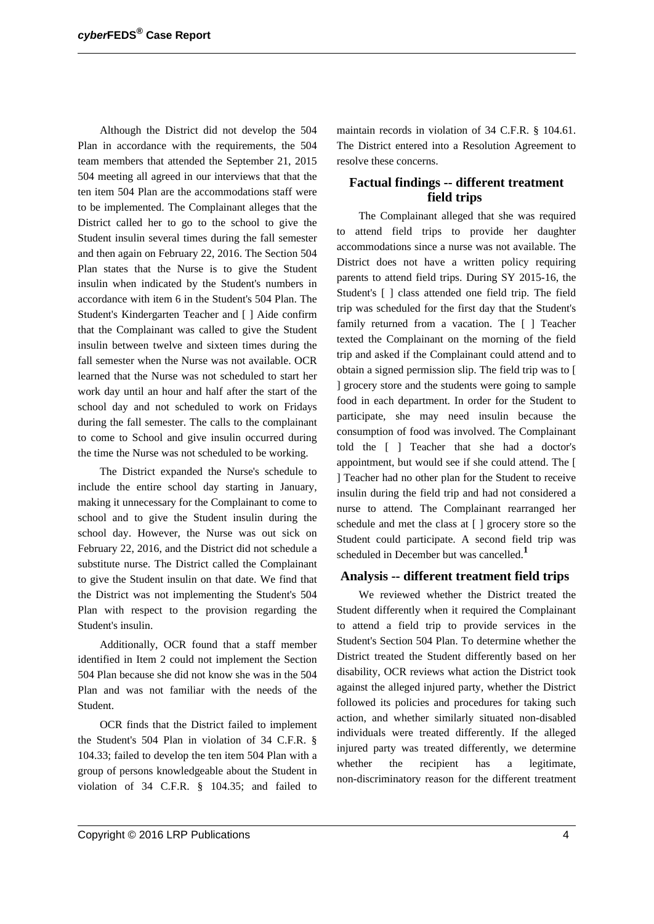Although the District did not develop the 504 Plan in accordance with the requirements, the 504 team members that attended the September 21, 2015 504 meeting all agreed in our interviews that that the ten item 504 Plan are the accommodations staff were to be implemented. The Complainant alleges that the District called her to go to the school to give the Student insulin several times during the fall semester and then again on February 22, 2016. The Section 504 Plan states that the Nurse is to give the Student insulin when indicated by the Student's numbers in accordance with item 6 in the Student's 504 Plan. The Student's Kindergarten Teacher and [ ] Aide confirm that the Complainant was called to give the Student insulin between twelve and sixteen times during the fall semester when the Nurse was not available. OCR learned that the Nurse was not scheduled to start her work day until an hour and half after the start of the school day and not scheduled to work on Fridays during the fall semester. The calls to the complainant to come to School and give insulin occurred during the time the Nurse was not scheduled to be working.

The District expanded the Nurse's schedule to include the entire school day starting in January, making it unnecessary for the Complainant to come to school and to give the Student insulin during the school day. However, the Nurse was out sick on February 22, 2016, and the District did not schedule a substitute nurse. The District called the Complainant to give the Student insulin on that date. We find that the District was not implementing the Student's 504 Plan with respect to the provision regarding the Student's insulin.

Additionally, OCR found that a staff member identified in Item 2 could not implement the Section 504 Plan because she did not know she was in the 504 Plan and was not familiar with the needs of the Student.

OCR finds that the District failed to implement the Student's 504 Plan in violation of 34 C.F.R. § 104.33; failed to develop the ten item 504 Plan with a group of persons knowledgeable about the Student in violation of 34 C.F.R. § 104.35; and failed to

maintain records in violation of 34 C.F.R. § 104.61. The District entered into a Resolution Agreement to resolve these concerns.

## **Factual findings -- different treatment field trips**

The Complainant alleged that she was required to attend field trips to provide her daughter accommodations since a nurse was not available. The District does not have a written policy requiring parents to attend field trips. During SY 2015-16, the Student's [ ] class attended one field trip. The field trip was scheduled for the first day that the Student's family returned from a vacation. The [ ] Teacher texted the Complainant on the morning of the field trip and asked if the Complainant could attend and to obtain a signed permission slip. The field trip was to [ ] grocery store and the students were going to sample food in each department. In order for the Student to participate, she may need insulin because the consumption of food was involved. The Complainant told the [ ] Teacher that she had a doctor's appointment, but would see if she could attend. The [ ] Teacher had no other plan for the Student to receive insulin during the field trip and had not considered a nurse to attend. The Complainant rearranged her schedule and met the class at [ ] grocery store so the Student could participate. A second field trip was scheduled in December but was cancelled.**<sup>1</sup>**

#### **Analysis -- different treatment field trips**

We reviewed whether the District treated the Student differently when it required the Complainant to attend a field trip to provide services in the Student's Section 504 Plan. To determine whether the District treated the Student differently based on her disability, OCR reviews what action the District took against the alleged injured party, whether the District followed its policies and procedures for taking such action, and whether similarly situated non-disabled individuals were treated differently. If the alleged injured party was treated differently, we determine whether the recipient has a legitimate, non-discriminatory reason for the different treatment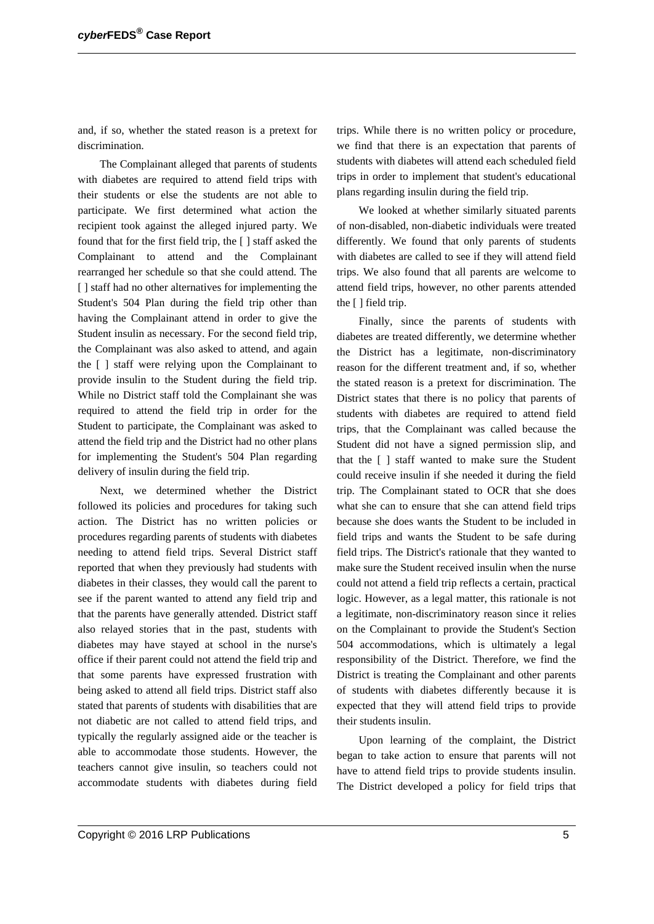and, if so, whether the stated reason is a pretext for discrimination.

The Complainant alleged that parents of students with diabetes are required to attend field trips with their students or else the students are not able to participate. We first determined what action the recipient took against the alleged injured party. We found that for the first field trip, the [ ] staff asked the Complainant to attend and the Complainant rearranged her schedule so that she could attend. The [ ] staff had no other alternatives for implementing the Student's 504 Plan during the field trip other than having the Complainant attend in order to give the Student insulin as necessary. For the second field trip, the Complainant was also asked to attend, and again the [ ] staff were relying upon the Complainant to provide insulin to the Student during the field trip. While no District staff told the Complainant she was required to attend the field trip in order for the Student to participate, the Complainant was asked to attend the field trip and the District had no other plans for implementing the Student's 504 Plan regarding delivery of insulin during the field trip.

Next, we determined whether the District followed its policies and procedures for taking such action. The District has no written policies or procedures regarding parents of students with diabetes needing to attend field trips. Several District staff reported that when they previously had students with diabetes in their classes, they would call the parent to see if the parent wanted to attend any field trip and that the parents have generally attended. District staff also relayed stories that in the past, students with diabetes may have stayed at school in the nurse's office if their parent could not attend the field trip and that some parents have expressed frustration with being asked to attend all field trips. District staff also stated that parents of students with disabilities that are not diabetic are not called to attend field trips, and typically the regularly assigned aide or the teacher is able to accommodate those students. However, the teachers cannot give insulin, so teachers could not accommodate students with diabetes during field

trips. While there is no written policy or procedure, we find that there is an expectation that parents of students with diabetes will attend each scheduled field trips in order to implement that student's educational plans regarding insulin during the field trip.

We looked at whether similarly situated parents of non-disabled, non-diabetic individuals were treated differently. We found that only parents of students with diabetes are called to see if they will attend field trips. We also found that all parents are welcome to attend field trips, however, no other parents attended the [ ] field trip.

Finally, since the parents of students with diabetes are treated differently, we determine whether the District has a legitimate, non-discriminatory reason for the different treatment and, if so, whether the stated reason is a pretext for discrimination. The District states that there is no policy that parents of students with diabetes are required to attend field trips, that the Complainant was called because the Student did not have a signed permission slip, and that the [ ] staff wanted to make sure the Student could receive insulin if she needed it during the field trip. The Complainant stated to OCR that she does what she can to ensure that she can attend field trips because she does wants the Student to be included in field trips and wants the Student to be safe during field trips. The District's rationale that they wanted to make sure the Student received insulin when the nurse could not attend a field trip reflects a certain, practical logic. However, as a legal matter, this rationale is not a legitimate, non-discriminatory reason since it relies on the Complainant to provide the Student's Section 504 accommodations, which is ultimately a legal responsibility of the District. Therefore, we find the District is treating the Complainant and other parents of students with diabetes differently because it is expected that they will attend field trips to provide their students insulin.

Upon learning of the complaint, the District began to take action to ensure that parents will not have to attend field trips to provide students insulin. The District developed a policy for field trips that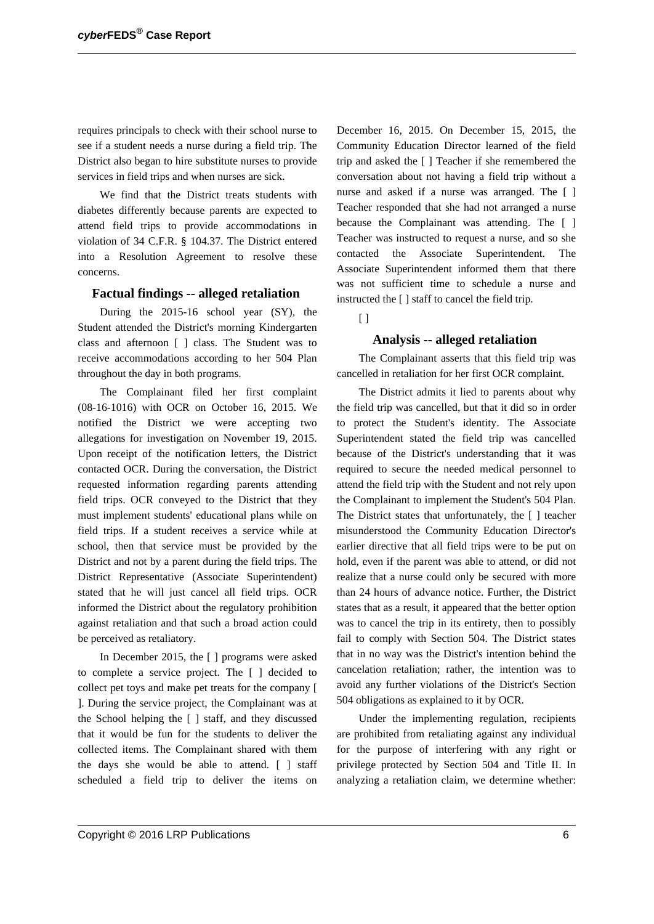requires principals to check with their school nurse to see if a student needs a nurse during a field trip. The District also began to hire substitute nurses to provide services in field trips and when nurses are sick.

We find that the District treats students with diabetes differently because parents are expected to attend field trips to provide accommodations in violation of 34 C.F.R. § 104.37. The District entered into a Resolution Agreement to resolve these concerns.

#### **Factual findings -- alleged retaliation**

During the 2015-16 school year (SY), the Student attended the District's morning Kindergarten class and afternoon [ ] class. The Student was to receive accommodations according to her 504 Plan throughout the day in both programs.

The Complainant filed her first complaint (08-16-1016) with OCR on October 16, 2015. We notified the District we were accepting two allegations for investigation on November 19, 2015. Upon receipt of the notification letters, the District contacted OCR. During the conversation, the District requested information regarding parents attending field trips. OCR conveyed to the District that they must implement students' educational plans while on field trips. If a student receives a service while at school, then that service must be provided by the District and not by a parent during the field trips. The District Representative (Associate Superintendent) stated that he will just cancel all field trips. OCR informed the District about the regulatory prohibition against retaliation and that such a broad action could be perceived as retaliatory.

In December 2015, the [ ] programs were asked to complete a service project. The [ ] decided to collect pet toys and make pet treats for the company [ ]. During the service project, the Complainant was at the School helping the [ ] staff, and they discussed that it would be fun for the students to deliver the collected items. The Complainant shared with them the days she would be able to attend. [ ] staff scheduled a field trip to deliver the items on December 16, 2015. On December 15, 2015, the Community Education Director learned of the field trip and asked the [ ] Teacher if she remembered the conversation about not having a field trip without a nurse and asked if a nurse was arranged. The [ ] Teacher responded that she had not arranged a nurse because the Complainant was attending. The [ ] Teacher was instructed to request a nurse, and so she contacted the Associate Superintendent. The Associate Superintendent informed them that there was not sufficient time to schedule a nurse and instructed the [ ] staff to cancel the field trip.

 $\lceil$ 

## **Analysis -- alleged retaliation**

The Complainant asserts that this field trip was cancelled in retaliation for her first OCR complaint.

The District admits it lied to parents about why the field trip was cancelled, but that it did so in order to protect the Student's identity. The Associate Superintendent stated the field trip was cancelled because of the District's understanding that it was required to secure the needed medical personnel to attend the field trip with the Student and not rely upon the Complainant to implement the Student's 504 Plan. The District states that unfortunately, the [ ] teacher misunderstood the Community Education Director's earlier directive that all field trips were to be put on hold, even if the parent was able to attend, or did not realize that a nurse could only be secured with more than 24 hours of advance notice. Further, the District states that as a result, it appeared that the better option was to cancel the trip in its entirety, then to possibly fail to comply with Section 504. The District states that in no way was the District's intention behind the cancelation retaliation; rather, the intention was to avoid any further violations of the District's Section 504 obligations as explained to it by OCR.

Under the implementing regulation, recipients are prohibited from retaliating against any individual for the purpose of interfering with any right or privilege protected by Section 504 and Title II. In analyzing a retaliation claim, we determine whether: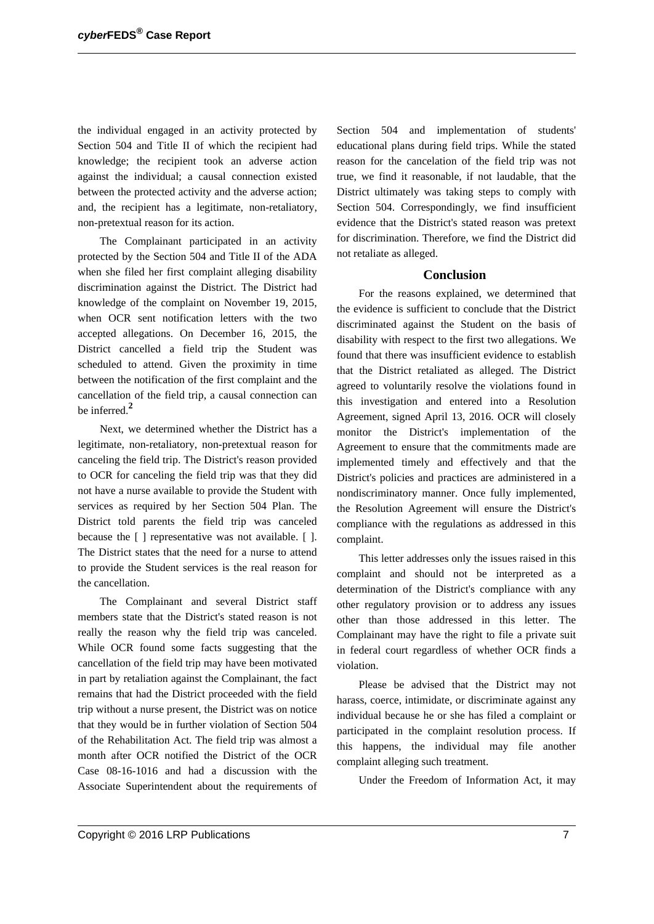the individual engaged in an activity protected by Section 504 and Title II of which the recipient had knowledge; the recipient took an adverse action against the individual; a causal connection existed between the protected activity and the adverse action; and, the recipient has a legitimate, non-retaliatory, non-pretextual reason for its action.

The Complainant participated in an activity protected by the Section 504 and Title II of the ADA when she filed her first complaint alleging disability discrimination against the District. The District had knowledge of the complaint on November 19, 2015, when OCR sent notification letters with the two accepted allegations. On December 16, 2015, the District cancelled a field trip the Student was scheduled to attend. Given the proximity in time between the notification of the first complaint and the cancellation of the field trip, a causal connection can be inferred.**<sup>2</sup>**

Next, we determined whether the District has a legitimate, non-retaliatory, non-pretextual reason for canceling the field trip. The District's reason provided to OCR for canceling the field trip was that they did not have a nurse available to provide the Student with services as required by her Section 504 Plan. The District told parents the field trip was canceled because the [ ] representative was not available. [ ]. The District states that the need for a nurse to attend to provide the Student services is the real reason for the cancellation.

The Complainant and several District staff members state that the District's stated reason is not really the reason why the field trip was canceled. While OCR found some facts suggesting that the cancellation of the field trip may have been motivated in part by retaliation against the Complainant, the fact remains that had the District proceeded with the field trip without a nurse present, the District was on notice that they would be in further violation of Section 504 of the Rehabilitation Act. The field trip was almost a month after OCR notified the District of the OCR Case 08-16-1016 and had a discussion with the Associate Superintendent about the requirements of

Section 504 and implementation of students' educational plans during field trips. While the stated reason for the cancelation of the field trip was not true, we find it reasonable, if not laudable, that the District ultimately was taking steps to comply with Section 504. Correspondingly, we find insufficient evidence that the District's stated reason was pretext for discrimination. Therefore, we find the District did not retaliate as alleged.

#### **Conclusion**

For the reasons explained, we determined that the evidence is sufficient to conclude that the District discriminated against the Student on the basis of disability with respect to the first two allegations. We found that there was insufficient evidence to establish that the District retaliated as alleged. The District agreed to voluntarily resolve the violations found in this investigation and entered into a Resolution Agreement, signed April 13, 2016. OCR will closely monitor the District's implementation of the Agreement to ensure that the commitments made are implemented timely and effectively and that the District's policies and practices are administered in a nondiscriminatory manner. Once fully implemented, the Resolution Agreement will ensure the District's compliance with the regulations as addressed in this complaint.

This letter addresses only the issues raised in this complaint and should not be interpreted as a determination of the District's compliance with any other regulatory provision or to address any issues other than those addressed in this letter. The Complainant may have the right to file a private suit in federal court regardless of whether OCR finds a violation.

Please be advised that the District may not harass, coerce, intimidate, or discriminate against any individual because he or she has filed a complaint or participated in the complaint resolution process. If this happens, the individual may file another complaint alleging such treatment.

Under the Freedom of Information Act, it may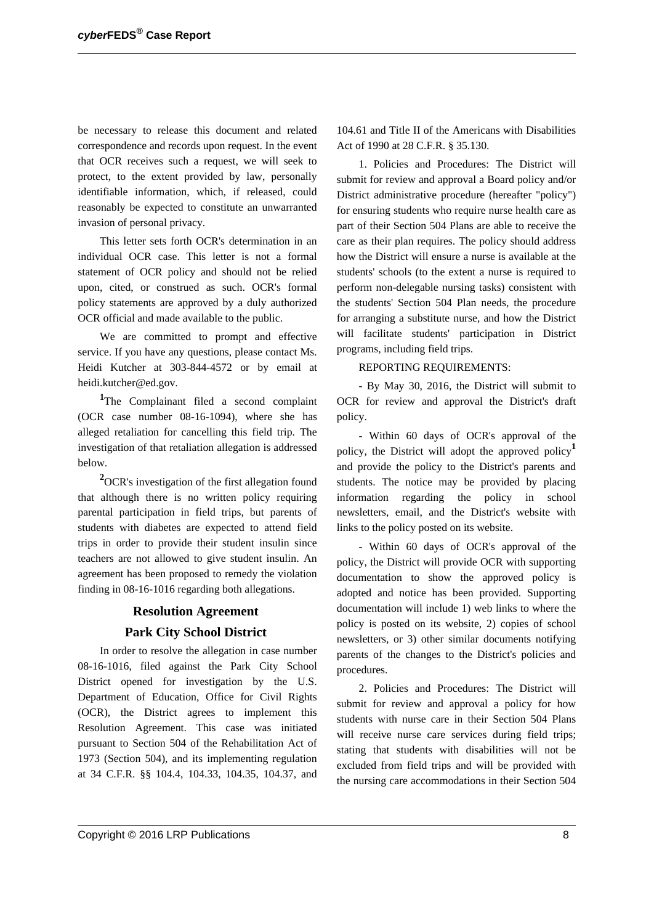be necessary to release this document and related correspondence and records upon request. In the event that OCR receives such a request, we will seek to protect, to the extent provided by law, personally identifiable information, which, if released, could reasonably be expected to constitute an unwarranted invasion of personal privacy.

This letter sets forth OCR's determination in an individual OCR case. This letter is not a formal statement of OCR policy and should not be relied upon, cited, or construed as such. OCR's formal policy statements are approved by a duly authorized OCR official and made available to the public.

We are committed to prompt and effective service. If you have any questions, please contact Ms. Heidi Kutcher at 303-844-4572 or by email at heidi.kutcher@ed.gov.

<sup>1</sup>The Complainant filed a second complaint (OCR case number 08-16-1094), where she has alleged retaliation for cancelling this field trip. The investigation of that retaliation allegation is addressed below.

**<sup>2</sup>**OCR's investigation of the first allegation found that although there is no written policy requiring parental participation in field trips, but parents of students with diabetes are expected to attend field trips in order to provide their student insulin since teachers are not allowed to give student insulin. An agreement has been proposed to remedy the violation finding in 08-16-1016 regarding both allegations.

## **Resolution Agreement**

## **Park City School District**

In order to resolve the allegation in case number 08-16-1016, filed against the Park City School District opened for investigation by the U.S. Department of Education, Office for Civil Rights (OCR), the District agrees to implement this Resolution Agreement. This case was initiated pursuant to Section 504 of the Rehabilitation Act of 1973 (Section 504), and its implementing regulation at 34 C.F.R. §§ 104.4, 104.33, 104.35, 104.37, and

104.61 and Title II of the Americans with Disabilities Act of 1990 at 28 C.F.R. § 35.130.

1. Policies and Procedures: The District will submit for review and approval a Board policy and/or District administrative procedure (hereafter "policy") for ensuring students who require nurse health care as part of their Section 504 Plans are able to receive the care as their plan requires. The policy should address how the District will ensure a nurse is available at the students' schools (to the extent a nurse is required to perform non-delegable nursing tasks) consistent with the students' Section 504 Plan needs, the procedure for arranging a substitute nurse, and how the District will facilitate students' participation in District programs, including field trips.

#### REPORTING REQUIREMENTS:

- By May 30, 2016, the District will submit to OCR for review and approval the District's draft policy.

- Within 60 days of OCR's approval of the policy, the District will adopt the approved policy**<sup>1</sup>** and provide the policy to the District's parents and students. The notice may be provided by placing information regarding the policy in school newsletters, email, and the District's website with links to the policy posted on its website.

- Within 60 days of OCR's approval of the policy, the District will provide OCR with supporting documentation to show the approved policy is adopted and notice has been provided. Supporting documentation will include 1) web links to where the policy is posted on its website, 2) copies of school newsletters, or 3) other similar documents notifying parents of the changes to the District's policies and procedures.

2. Policies and Procedures: The District will submit for review and approval a policy for how students with nurse care in their Section 504 Plans will receive nurse care services during field trips; stating that students with disabilities will not be excluded from field trips and will be provided with the nursing care accommodations in their Section 504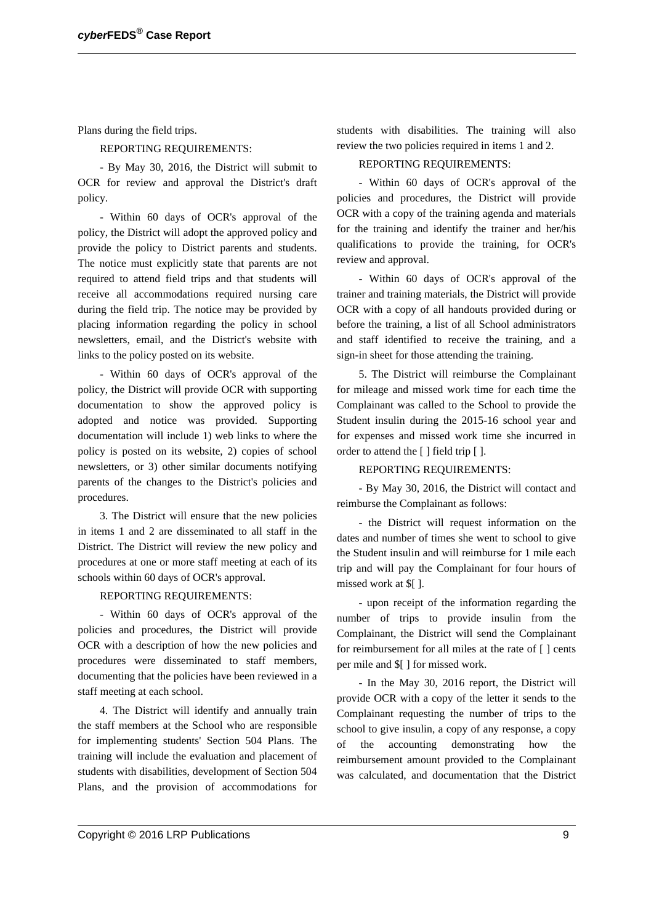Plans during the field trips.

REPORTING REQUIREMENTS:

- By May 30, 2016, the District will submit to OCR for review and approval the District's draft policy.

- Within 60 days of OCR's approval of the policy, the District will adopt the approved policy and provide the policy to District parents and students. The notice must explicitly state that parents are not required to attend field trips and that students will receive all accommodations required nursing care during the field trip. The notice may be provided by placing information regarding the policy in school newsletters, email, and the District's website with links to the policy posted on its website.

- Within 60 days of OCR's approval of the policy, the District will provide OCR with supporting documentation to show the approved policy is adopted and notice was provided. Supporting documentation will include 1) web links to where the policy is posted on its website, 2) copies of school newsletters, or 3) other similar documents notifying parents of the changes to the District's policies and procedures.

3. The District will ensure that the new policies in items 1 and 2 are disseminated to all staff in the District. The District will review the new policy and procedures at one or more staff meeting at each of its schools within 60 days of OCR's approval.

REPORTING REQUIREMENTS:

- Within 60 days of OCR's approval of the policies and procedures, the District will provide OCR with a description of how the new policies and procedures were disseminated to staff members, documenting that the policies have been reviewed in a staff meeting at each school.

4. The District will identify and annually train the staff members at the School who are responsible for implementing students' Section 504 Plans. The training will include the evaluation and placement of students with disabilities, development of Section 504 Plans, and the provision of accommodations for

students with disabilities. The training will also review the two policies required in items 1 and 2.

#### REPORTING REQUIREMENTS:

- Within 60 days of OCR's approval of the policies and procedures, the District will provide OCR with a copy of the training agenda and materials for the training and identify the trainer and her/his qualifications to provide the training, for OCR's review and approval.

- Within 60 days of OCR's approval of the trainer and training materials, the District will provide OCR with a copy of all handouts provided during or before the training, a list of all School administrators and staff identified to receive the training, and a sign-in sheet for those attending the training.

5. The District will reimburse the Complainant for mileage and missed work time for each time the Complainant was called to the School to provide the Student insulin during the 2015-16 school year and for expenses and missed work time she incurred in order to attend the [ ] field trip [ ].

#### REPORTING REQUIREMENTS:

- By May 30, 2016, the District will contact and reimburse the Complainant as follows:

- the District will request information on the dates and number of times she went to school to give the Student insulin and will reimburse for 1 mile each trip and will pay the Complainant for four hours of missed work at \$[ ].

- upon receipt of the information regarding the number of trips to provide insulin from the Complainant, the District will send the Complainant for reimbursement for all miles at the rate of [ ] cents per mile and \$[ ] for missed work.

- In the May 30, 2016 report, the District will provide OCR with a copy of the letter it sends to the Complainant requesting the number of trips to the school to give insulin, a copy of any response, a copy of the accounting demonstrating how the reimbursement amount provided to the Complainant was calculated, and documentation that the District